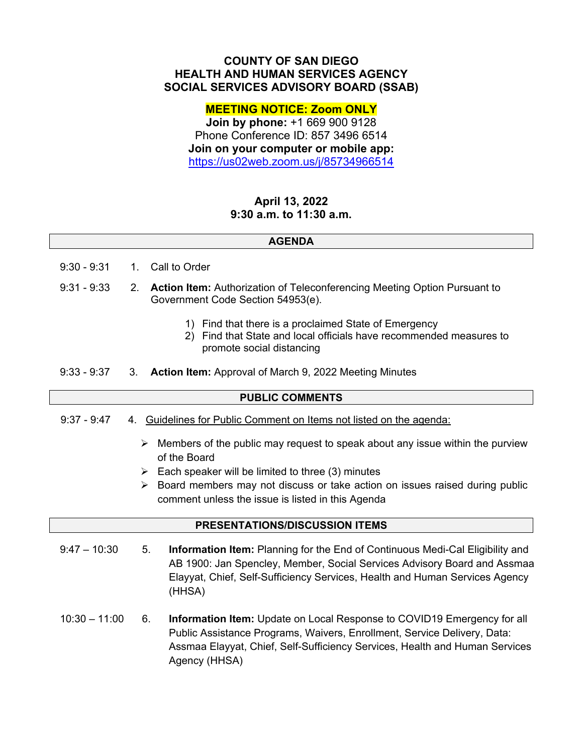## **COUNTY OF SAN DIEGO HEALTH AND HUMAN SERVICES AGENCY SOCIAL SERVICES ADVISORY BOARD (SSAB)**

### **MEETING NOTICE: Zoom ONLY**

**Join by phone:** +1 669 900 9128 Phone Conference ID: 857 3496 6514 **Join on your computer or mobile app:**  https://us02web.zoom.us/j/85734966514

# **April 13, 2022 9:30 a.m. to 11:30 a.m.**

#### **AGENDA**

- 9:30 9:31 1. Call to Order
- 9:31 9:33 2. **Action Item:** Authorization of Teleconferencing Meeting Option Pursuant to Government Code Section 54953(e).
	- 1) Find that there is a proclaimed State of Emergency
	- 2) Find that State and local officials have recommended measures to promote social distancing
- 9:33 9:37 3. **Action Item:** Approval of March 9, 2022 Meeting Minutes

#### **PUBLIC COMMENTS**

- 9:37 9:47 4. Guidelines for Public Comment on Items not listed on the agenda:
	- $\triangleright$  Members of the public may request to speak about any issue within the purview of the Board
	- $\triangleright$  Each speaker will be limited to three (3) minutes
	- $\triangleright$  Board members may not discuss or take action on issues raised during public comment unless the issue is listed in this Agenda

#### **PRESENTATIONS/DISCUSSION ITEMS**

- $9:47 10:30$ 5. **Information Item:** Planning for the End of Continuous Medi-Cal Eligibility and AB 1900: Jan Spencley, Member, Social Services Advisory Board and Assmaa Elayyat, Chief, Self-Sufficiency Services, Health and Human Services Agency (HHSA)
- $10:30 11:00$ 6. **Information Item:** Update on Local Response to COVID19 Emergency for all Public Assistance Programs, Waivers, Enrollment, Service Delivery, Data: Assmaa Elayyat, Chief, Self-Sufficiency Services, Health and Human Services Agency (HHSA)